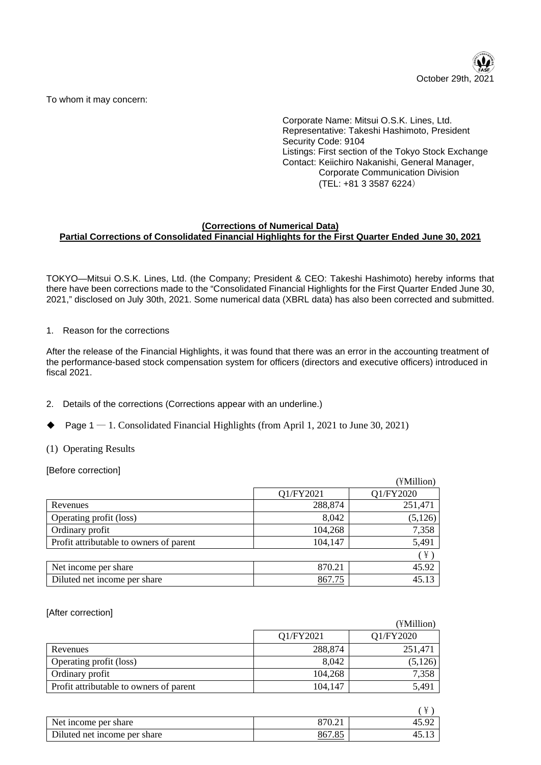

To whom it may concern:

Corporate Name: Mitsui O.S.K. Lines, Ltd. Representative: Takeshi Hashimoto, President Security Code: 9104 Listings: First section of the Tokyo Stock Exchange Contact: Keiichiro Nakanishi, General Manager, Corporate Communication Division (TEL: +81 3 3587 6224)

### **(Corrections of Numerical Data) Partial Corrections of Consolidated Financial Highlights for the First Quarter Ended June 30, 2021**

TOKYO—Mitsui O.S.K. Lines, Ltd. (the Company; President & CEO: Takeshi Hashimoto) hereby informs that there have been corrections made to the "Consolidated Financial Highlights for the First Quarter Ended June 30, 2021," disclosed on July 30th, 2021. Some numerical data (XBRL data) has also been corrected and submitted.

1. Reason for the corrections

After the release of the Financial Highlights, it was found that there was an error in the accounting treatment of the performance-based stock compensation system for officers (directors and executive officers) introduced in fiscal 2021.

- 2. Details of the corrections (Corrections appear with an underline.)
- Page  $1 1$ . Consolidated Financial Highlights (from April 1, 2021 to June 30, 2021)
- (1) Operating Results

[Before correction]

|                                         |           | (¥Million) |
|-----------------------------------------|-----------|------------|
|                                         | Q1/FY2021 | Q1/FY2020  |
| Revenues                                | 288,874   | 251,471    |
| Operating profit (loss)                 | 8,042     | (5, 126)   |
| Ordinary profit                         | 104,268   | 7,358      |
| Profit attributable to owners of parent | 104,147   | 5,491      |
|                                         |           | $(\nPsi)$  |
| Net income per share                    | 870.21    | 45.92      |
| Diluted net income per share            | 867.75    | 45.13      |

[After correction]

|                                         |           | (¥Million) |
|-----------------------------------------|-----------|------------|
|                                         | Q1/FY2021 | Q1/FY2020  |
| Revenues                                | 288,874   | 251,471    |
| Operating profit (loss)                 | 8.042     | (5,126)    |
| Ordinary profit                         | 104,268   | 7,358      |
| Profit attributable to owners of parent | 104,147   | 5,491      |
|                                         |           |            |

|                              |                          | ¥     |
|------------------------------|--------------------------|-------|
| Net income per share         | 870.21                   | 45.92 |
| Diluted net income per share | 867.8.<br>O <sub>5</sub> |       |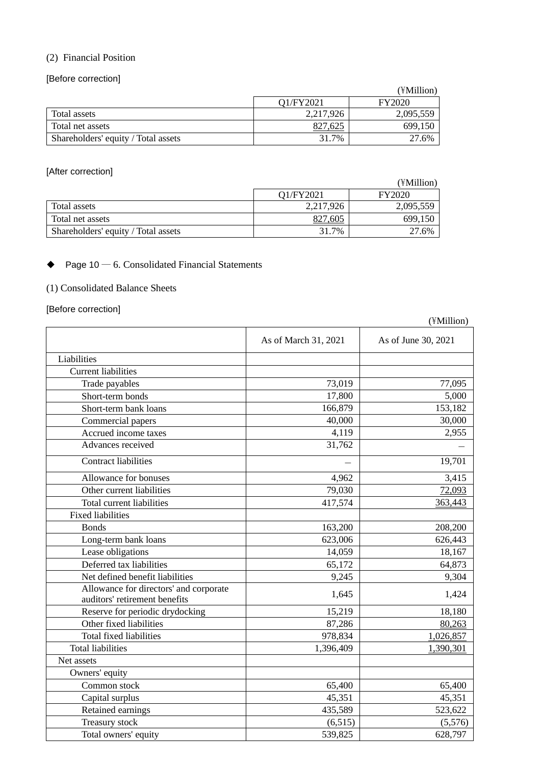## (2) Financial Position

[Before correction]

|                                     |           | (¥Million)    |
|-------------------------------------|-----------|---------------|
|                                     | O1/FY2021 | <b>FY2020</b> |
| Total assets                        | 2,217,926 | 2,095,559     |
| Total net assets                    | 827,625   | 699,150       |
| Shareholders' equity / Total assets | 31.7%     | 27.6%         |

[After correction]

|                                     |           | (¥Million)    |
|-------------------------------------|-----------|---------------|
|                                     | O1/FY2021 | <b>FY2020</b> |
| Total assets                        | 2,217,926 | 2,095,559     |
| Total net assets                    | 827,605   | 699.150       |
| Shareholders' equity / Total assets | 31.7%     | 27.6%         |

# $\blacklozenge$  Page 10 — 6. Consolidated Financial Statements

# (1) Consolidated Balance Sheets

### [Before correction]

|                                                                         | As of March 31, 2021 | As of June 30, 2021 |
|-------------------------------------------------------------------------|----------------------|---------------------|
| Liabilities                                                             |                      |                     |
| <b>Current liabilities</b>                                              |                      |                     |
| Trade payables                                                          | 73,019               | 77,095              |
| Short-term bonds                                                        | 17,800               | 5,000               |
| Short-term bank loans                                                   | 166,879              | 153,182             |
| Commercial papers                                                       | 40,000               | 30,000              |
| Accrued income taxes                                                    | 4,119                | 2,955               |
| Advances received                                                       | 31,762               |                     |
| <b>Contract liabilities</b>                                             |                      | 19,701              |
| Allowance for bonuses                                                   | 4,962                | 3,415               |
| Other current liabilities                                               | 79,030               | 72,093              |
| <b>Total current liabilities</b>                                        | 417,574              | 363,443             |
| <b>Fixed liabilities</b>                                                |                      |                     |
| <b>Bonds</b>                                                            | 163,200              | 208,200             |
| Long-term bank loans                                                    | 623,006              | 626,443             |
| Lease obligations                                                       | 14,059               | 18,167              |
| Deferred tax liabilities                                                | 65,172               | 64,873              |
| Net defined benefit liabilities                                         | 9,245                | 9,304               |
| Allowance for directors' and corporate<br>auditors' retirement benefits | 1,645                | 1,424               |
| Reserve for periodic drydocking                                         | 15,219               | 18,180              |
| Other fixed liabilities                                                 | 87,286               | 80,263              |
| <b>Total fixed liabilities</b>                                          | 978,834              | 1,026,857           |
| <b>Total liabilities</b>                                                | 1,396,409            | 1,390,301           |
| Net assets                                                              |                      |                     |
| Owners' equity                                                          |                      |                     |
| Common stock                                                            | 65,400               | 65,400              |
| Capital surplus                                                         | 45,351               | 45,351              |
| Retained earnings                                                       | 435,589              | 523,622             |
| Treasury stock                                                          | (6,515)              | (5,576)             |
| Total owners' equity                                                    | 539,825              | 628,797             |

(¥Million)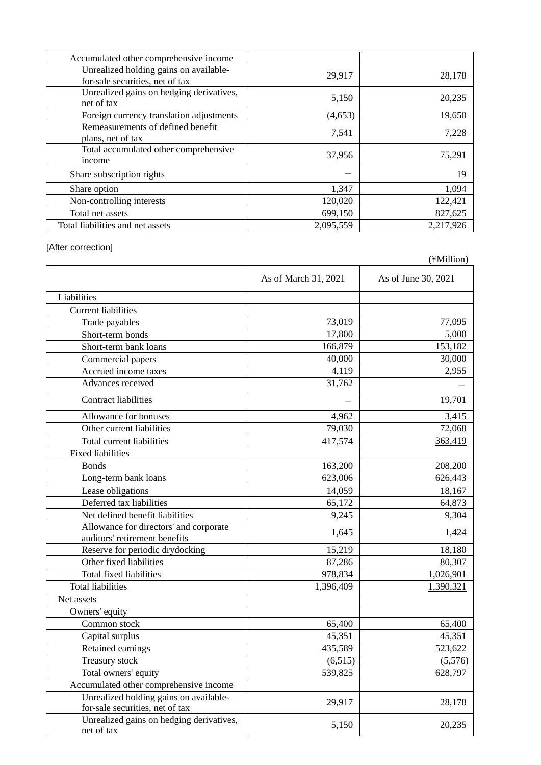| Accumulated other comprehensive income                                    |           |            |
|---------------------------------------------------------------------------|-----------|------------|
| Unrealized holding gains on available-<br>for-sale securities, net of tax | 29,917    | 28,178     |
| Unrealized gains on hedging derivatives,<br>net of tax                    | 5,150     | 20,235     |
| Foreign currency translation adjustments                                  | (4, 653)  | 19,650     |
| Remeasurements of defined benefit<br>plans, net of tax                    | 7,541     | 7,228      |
| Total accumulated other comprehensive<br>income                           | 37,956    | 75,291     |
| Share subscription rights                                                 |           | <u> 19</u> |
| Share option                                                              | 1,347     | 1,094      |
| Non-controlling interests                                                 | 120,020   | 122,421    |
| Total net assets                                                          | 699,150   | 827,625    |
| Total liabilities and net assets                                          | 2,095,559 | 2,217,926  |

# [After correction]

|                                                                           |                      | $(11$ vinnon)       |
|---------------------------------------------------------------------------|----------------------|---------------------|
|                                                                           | As of March 31, 2021 | As of June 30, 2021 |
| Liabilities                                                               |                      |                     |
| <b>Current liabilities</b>                                                |                      |                     |
| Trade payables                                                            | 73,019               | 77,095              |
| Short-term bonds                                                          | 17,800               | 5,000               |
| Short-term bank loans                                                     | 166,879              | 153,182             |
| Commercial papers                                                         | 40,000               | 30,000              |
| Accrued income taxes                                                      | 4,119                | 2,955               |
| Advances received                                                         | 31,762               |                     |
| Contract liabilities                                                      |                      | 19,701              |
| Allowance for bonuses                                                     | 4,962                | 3,415               |
| Other current liabilities                                                 | 79,030               | 72,068              |
| Total current liabilities                                                 | 417,574              | 363,419             |
| <b>Fixed liabilities</b>                                                  |                      |                     |
| <b>Bonds</b>                                                              | 163,200              | 208,200             |
| Long-term bank loans                                                      | 623,006              | 626,443             |
| Lease obligations                                                         | 14,059               | 18,167              |
| Deferred tax liabilities                                                  | 65,172               | 64,873              |
| Net defined benefit liabilities                                           | 9,245                | 9,304               |
| Allowance for directors' and corporate                                    | 1,645                | 1,424               |
| auditors' retirement benefits                                             |                      |                     |
| Reserve for periodic drydocking                                           | 15,219               | 18,180              |
| Other fixed liabilities                                                   | 87,286               | 80,307              |
| Total fixed liabilities                                                   | 978,834              | 1,026,901           |
| <b>Total liabilities</b>                                                  | 1,396,409            | 1,390,321           |
| Net assets                                                                |                      |                     |
| Owners' equity                                                            |                      |                     |
| Common stock                                                              | 65,400               | 65,400              |
| Capital surplus                                                           | 45,351               | 45,351              |
| Retained earnings                                                         | 435,589              | 523,622             |
| Treasury stock                                                            | (6,515)              | (5,576)             |
| Total owners' equity                                                      | 539,825              | 628,797             |
| Accumulated other comprehensive income                                    |                      |                     |
| Unrealized holding gains on available-<br>for-sale securities, net of tax | 29,917               | 28,178              |
| Unrealized gains on hedging derivatives,<br>net of tax                    | 5,150                | 20,235              |

 $(\text{WMillion})$